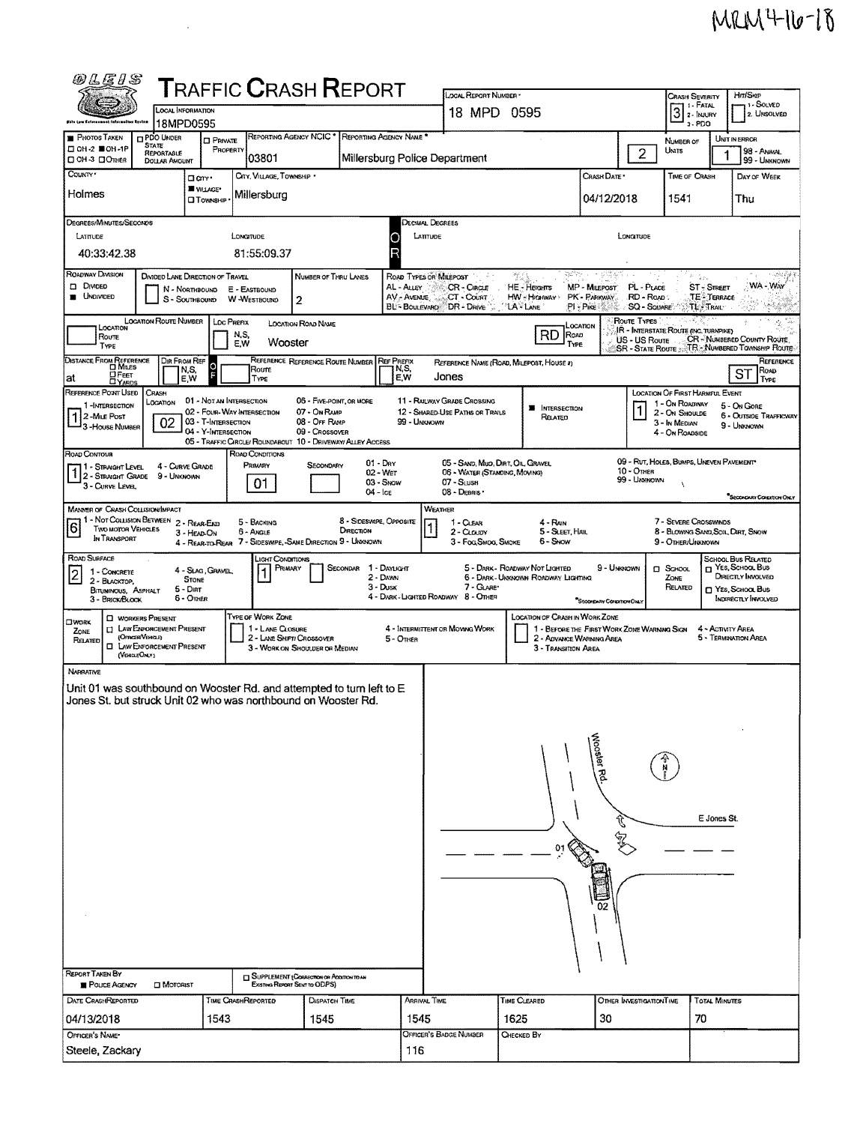## $MRM4$ -16-18

| 00 L G   S                                                                                                                              |                                                                        | <b>T</b> RAFFIC <b>C</b> RASH <b>R</b> EPORT                |                                              |                                                                                   |                                      |                           | LOCAL REPORT NUMBER                                                |                                                                           |                                             |                                      | <b>CRASH SEVERITY</b>                                                            |                                    | Hm/Skip                                                    |
|-----------------------------------------------------------------------------------------------------------------------------------------|------------------------------------------------------------------------|-------------------------------------------------------------|----------------------------------------------|-----------------------------------------------------------------------------------|--------------------------------------|---------------------------|--------------------------------------------------------------------|---------------------------------------------------------------------------|---------------------------------------------|--------------------------------------|----------------------------------------------------------------------------------|------------------------------------|------------------------------------------------------------|
|                                                                                                                                         | LOCAL INFORMATION                                                      |                                                             |                                              |                                                                                   |                                      |                           | 18 MPD 0595                                                        |                                                                           |                                             |                                      | $3$ : Fatal                                                                      |                                    | 1 - Solved<br>2. UNSOLVED                                  |
| Øhlu Low Entornomnat fafarmalian Eystam                                                                                                 | 18MPD0595                                                              |                                                             |                                              | REPORTING AGENCY NCIC * REPORTING AGENCY NAME *                                   |                                      |                           |                                                                    |                                                                           |                                             |                                      | $3 - PDO$                                                                        |                                    |                                                            |
| <b>PHOTOS TAKEN</b><br>□ 0H-2 ■ 0H-1P<br><b>DOH-3 DOMER</b>                                                                             | <b>PDO UNDER</b><br><b>STATE</b><br>REPORTABLE<br><b>DOLLAR AMOUNT</b> | <b>D</b> PRIVATE<br>PROPERTY                                | 03801                                        |                                                                                   |                                      |                           | Millersburg Police Department                                      |                                                                           |                                             | $\overline{2}$                       | Number of<br>Units                                                               | 1                                  | UNIT IN ERROR<br>98 - Animal<br>99 - UNKNOWN               |
| COUNTY *                                                                                                                                | Ocm.                                                                   |                                                             | CITY, VILLAGE, TOWNSHIP .                    |                                                                                   |                                      |                           |                                                                    |                                                                           | CRASH DATE                                  |                                      | TIME OF CRASH                                                                    |                                    | DAY OF WEEK                                                |
| Holmes                                                                                                                                  |                                                                        | <b>WILAGE*</b><br><b>CIT CWNSHIP</b>                        | Millersburg                                  |                                                                                   |                                      |                           |                                                                    |                                                                           | 04/12/2018                                  |                                      | 1541                                                                             |                                    | Thu                                                        |
| Degrees/MINUTES/SECONDS                                                                                                                 |                                                                        |                                                             |                                              |                                                                                   |                                      |                           | Decimal Degrees                                                    |                                                                           |                                             |                                      |                                                                                  |                                    |                                                            |
| LATITUDE                                                                                                                                |                                                                        | LONGTUDE                                                    |                                              |                                                                                   |                                      |                           | LATITUDE                                                           |                                                                           |                                             | LONGITUDE                            |                                                                                  |                                    |                                                            |
| 40:33:42.38                                                                                                                             |                                                                        |                                                             | 81:55:09.37                                  |                                                                                   |                                      |                           |                                                                    |                                                                           |                                             |                                      |                                                                                  |                                    |                                                            |
| ROADWAY DIVISION                                                                                                                        | DIVIDED LANE DIRECTION OF TRAVEL                                       |                                                             |                                              | NUMBER OF THRU LANES                                                              |                                      |                           | ROAD TYPES OR MILEPOST                                             | ಭಲಿಗ<br>$\mathcal{P}_{\mathcal{L},\mathcal{L}}^{\mathcal{L},\mathcal{L}}$ |                                             |                                      | $\hat{\mu}_\text{f}$<br>$\mathcal{L}_{\mathcal{L}^{\prime}\mathcal{L}^{\prime}}$ |                                    | 人名德斯曼                                                      |
| <b>DI DIVIDED</b><br><b>UNDIVIDED</b>                                                                                                   | N - NORTHBOUND<br>S - SouthBound                                       |                                                             | E - EASTBOUND<br>W-WestBOUND                 |                                                                                   |                                      | AL - ALLEY<br>AV - AVENUE | CR - CIRCLE<br>CT - COUNT                                          | <b>HE-Heights</b><br>HW - Higiway >                                       | MP - MILEPOST<br>PK - PARKWAY               | PL - Puce<br>RD - Road               |                                                                                  | <b>ST</b> - STREET<br>TE - Terrace | WA - Way                                                   |
|                                                                                                                                         |                                                                        |                                                             |                                              | 2                                                                                 |                                      |                           | BL BOULEVARD DR DRIVE                                              | <b>LA</b> LANE                                                            | $PI - P$ ike                                | <b>SQ - SQUARE</b>                   |                                                                                  | TL <sup>3</sup> TRAIL              |                                                            |
| LOCATION<br>Route                                                                                                                       | <b>LOCATION ROUTE NUMBER</b>                                           | Loc Prenx<br>N,S,                                           |                                              | LOCATION ROAD NAME                                                                |                                      |                           |                                                                    | RD <sub>Row</sub>                                                         | LOCATION                                    | Route Types                          | IR - INTERSTATE ROUTE (INC. TURNPIKE)                                            |                                    |                                                            |
| TYPE                                                                                                                                    |                                                                        | E,W                                                         | Wooster                                      |                                                                                   |                                      |                           |                                                                    | TYPE                                                                      |                                             | US - US Route<br>SR - State Route ;; |                                                                                  |                                    | CR - NUMBERED COUNTY ROUTE<br>TR - NUMBERED TOWNSHIP ROUTE |
| <b>DISTANCE FROM REFERENCE</b><br><b>D</b> MILES<br>OFEET                                                                               | Dir From Ref<br>N,S,                                                   | o                                                           | Roure                                        | REFERENCE REFERENCE ROUTE NUMBER                                                  |                                      | <b>REF PREFIX</b><br>N,S, |                                                                    | REFERENCE NAME (ROAD, MILEPOST, HOUSE #)                                  |                                             |                                      |                                                                                  |                                    | REFERENCE<br>ROAD<br>ST                                    |
| at<br><b>DYARDS</b><br>REFERENCE POINT USED                                                                                             | E,W<br>CRASH                                                           |                                                             | TYPE                                         |                                                                                   |                                      | E,W                       | Jones                                                              |                                                                           |                                             |                                      | <b>LOCATION OF FIRST HARMFUL EVENT</b>                                           |                                    | TYPE                                                       |
| 1-INTERSECTION                                                                                                                          | LOCATION                                                               | 01 - Not an Intersection<br>02 - FOUR-WAY INTERSECTION      |                                              | 06 - FIVE-POINT, OR MORE<br>07 - On Ramp                                          |                                      |                           | 11 - RAILWAY GRADE CROSSING<br>12 - SHARED-USE PATHS OR TRAILS     | <b>B</b> INTERSECTION                                                     |                                             | 1                                    | 1 - On ROADWAY<br>2 - ON SHOULDE                                                 |                                    | 5 - On Gone<br><b>6 - OUTSIDE TRAFFICWAY</b>               |
| 1 2-MILE Post<br>3 - House Number                                                                                                       | 02                                                                     | 03 - T-INTERSECTION<br>04 - Y-INTERSECTION                  |                                              | 08 - Off Ramp<br>09 - Crossover                                                   |                                      | 99 - UNKNOWN              |                                                                    | Related                                                                   |                                             |                                      | 3 - In MEDIAN<br>4 - On Roansine                                                 |                                    | 9 - Unknown                                                |
| ROAD CONTOUR                                                                                                                            |                                                                        | 05 - TRAFFIC CIRCLE/ ROUNDABOUT 10 - DRIVEWAY/ ALLEY ACCESS | ROAD CONDITIONS                              |                                                                                   |                                      |                           |                                                                    |                                                                           |                                             |                                      |                                                                                  |                                    |                                                            |
| 1 - STRAGHT LEVEL                                                                                                                       | 4 - CURVE GRADE                                                        |                                                             | PRIMARY                                      | SECONDARY                                                                         | $01 - Draw$<br>02 - Wet              |                           | 05 - SAND, MUO, DIRT, OIL, GRAVEL<br>06 - WATER (STANDING, MOVING) |                                                                           |                                             | 10 - Отнев                           | 09 - RUT. HOLES, BUMPS, UNEVEN PAVEMENT                                          |                                    |                                                            |
| $1 _2$ - Straight Grade<br>3 - CURVE LEVEL                                                                                              | 9 - UNKNOWN                                                            |                                                             | 01                                           |                                                                                   | 03 - Show<br>04 - Ice                |                           | 07 - SLUSH<br>08 - DEBRIS                                          |                                                                           |                                             | 99 - Unxnown                         |                                                                                  |                                    |                                                            |
| <b>MANNER OF CRASH COLLISION/IMPACT</b>                                                                                                 |                                                                        |                                                             |                                              |                                                                                   |                                      |                           | <b>WEATHER</b>                                                     |                                                                           |                                             |                                      |                                                                                  |                                    | SECONDARY CONDITION ONLY                                   |
| 1 - Not Collision Between 2 - Rear-End<br>6<br><b>TWO MOTOR VEHICLES</b>                                                                |                                                                        |                                                             | 5 - BACKING                                  |                                                                                   | 8 - SIDESWIPE, OPPOSITE<br>DIRECTION |                           | 1 - CLEAR                                                          | $4 - R_{NN}$                                                              |                                             |                                      | 7 - Severe Crosswinds                                                            |                                    |                                                            |
| IN TRANSPORT                                                                                                                            | 3 - HEAD-ON                                                            | 4 - REAR-TO-REAR 7 - SIDESWIPE, -SAME DIRECTION 9 - UNKNOWN | 6 - ANGLE                                    |                                                                                   |                                      |                           | 2 - CLOUDY<br>3 - Fog, Smog, Smoke                                 | 5 - SLEET, HAIL<br>6 - Show                                               |                                             |                                      | 8 - Blowing Sand, Soil, Dirt, Snow<br>9 - OTHER/UNKNOWN                          |                                    |                                                            |
| ROAD SURFACE                                                                                                                            |                                                                        | 4 - Slag, Gravel,                                           | <b>LIGHT CONDITIONS</b><br>PRIMARY           |                                                                                   | SECONDAR                             | 1 - DAYLIGHT              |                                                                    | 5 - DARK - ROADWAY NOT LIGHTED                                            | 9 - Unknown                                 |                                      | $\square$ School                                                                 |                                    | SCHOOL BUS RELATED<br>T YES, SCHOOL BUS                    |
| 1 - CONCRETE<br>$\overline{2}$<br>2 - BLACKTOP.                                                                                         | <b>STONE</b><br>5 - Dar                                                |                                                             |                                              |                                                                                   | 2 - Dawn<br>3 - Dusk                 |                           | 7 - GLARE*                                                         | 6 - DARK - UNKNOWN ROADWAY LIGHTING                                       |                                             |                                      | ZONE<br>RELATED                                                                  |                                    | DIRECTLY INVOLVED<br>T YES, SCHOOL BUS                     |
| BITUMINOUS, ASPHALT<br>3 - BRICK/BLOCK                                                                                                  | 6 - Other                                                              |                                                             |                                              |                                                                                   |                                      |                           | 4 - DARK - LIGHTED ROADWAY 8 - OTHER                               |                                                                           | SECONDARY CONDITION ONLY                    |                                      |                                                                                  |                                    | INDIRECTLY INVOLVED                                        |
| <b>C WORKERS PRESENT</b><br><b>OWORK</b><br>0                                                                                           | LAW ENFORCEMENT PRESENT                                                |                                                             | <b>TYPE OF WORK ZONE</b><br>1 - LANE CLOSURE |                                                                                   |                                      |                           | 4 - INTERMITTENT OR MOVING WORK                                    | LOCATION OF CRASH IN WORK ZONE                                            | 1 - BEFORE THE FIRST WORK ZONE WARNING SIGN |                                      |                                                                                  | 4 - ACTIVITY AREA                  |                                                            |
| ZONE<br>(OmasiVaria.a)<br>RELATED<br>α                                                                                                  | LAW ENFORCEMENT PRESENT                                                |                                                             | 2 - LANE SHIFTI CROSSOVER                    | 3 - WORK ON SHOULDER OR MEDIAN                                                    |                                      | 5 - OTHER                 |                                                                    | 3 - Transition Area                                                       | 2 - ADVANCE WARNING AREA                    |                                      |                                                                                  |                                    | 5 - TERMINATION AREA                                       |
| (VEHILEONLY)                                                                                                                            |                                                                        |                                                             |                                              |                                                                                   |                                      |                           |                                                                    |                                                                           |                                             |                                      |                                                                                  |                                    |                                                            |
| <b>NARRATIVE</b>                                                                                                                        |                                                                        |                                                             |                                              |                                                                                   |                                      |                           |                                                                    |                                                                           |                                             |                                      |                                                                                  |                                    |                                                            |
| Unit 01 was southbound on Wooster Rd. and attempted to turn left to E<br>Jones St. but struck Unit 02 who was northbound on Wooster Rd. |                                                                        |                                                             |                                              |                                                                                   |                                      |                           |                                                                    |                                                                           |                                             |                                      |                                                                                  |                                    |                                                            |
|                                                                                                                                         |                                                                        |                                                             |                                              |                                                                                   |                                      |                           |                                                                    |                                                                           |                                             |                                      |                                                                                  |                                    |                                                            |
|                                                                                                                                         |                                                                        |                                                             |                                              |                                                                                   |                                      |                           |                                                                    |                                                                           |                                             |                                      |                                                                                  |                                    |                                                            |
|                                                                                                                                         |                                                                        |                                                             |                                              |                                                                                   |                                      |                           |                                                                    |                                                                           | Woosler Rd-                                 |                                      |                                                                                  |                                    |                                                            |
|                                                                                                                                         |                                                                        |                                                             |                                              |                                                                                   |                                      |                           |                                                                    |                                                                           |                                             |                                      |                                                                                  |                                    |                                                            |
|                                                                                                                                         |                                                                        |                                                             |                                              |                                                                                   |                                      |                           |                                                                    |                                                                           |                                             |                                      |                                                                                  |                                    |                                                            |
|                                                                                                                                         |                                                                        |                                                             |                                              |                                                                                   |                                      |                           |                                                                    |                                                                           |                                             |                                      |                                                                                  | E Jones St.                        |                                                            |
|                                                                                                                                         |                                                                        |                                                             |                                              |                                                                                   |                                      |                           |                                                                    |                                                                           |                                             |                                      |                                                                                  |                                    |                                                            |
|                                                                                                                                         |                                                                        |                                                             |                                              |                                                                                   |                                      |                           |                                                                    |                                                                           |                                             |                                      |                                                                                  |                                    |                                                            |
|                                                                                                                                         |                                                                        |                                                             |                                              |                                                                                   |                                      |                           |                                                                    |                                                                           |                                             |                                      |                                                                                  |                                    |                                                            |
|                                                                                                                                         |                                                                        |                                                             |                                              |                                                                                   |                                      |                           |                                                                    |                                                                           |                                             |                                      |                                                                                  |                                    |                                                            |
|                                                                                                                                         |                                                                        |                                                             |                                              |                                                                                   |                                      |                           |                                                                    |                                                                           |                                             |                                      |                                                                                  |                                    |                                                            |
|                                                                                                                                         |                                                                        |                                                             |                                              |                                                                                   |                                      |                           |                                                                    |                                                                           |                                             |                                      |                                                                                  |                                    |                                                            |
|                                                                                                                                         |                                                                        |                                                             |                                              |                                                                                   |                                      |                           |                                                                    |                                                                           |                                             |                                      |                                                                                  |                                    |                                                            |
| <b>REPORT TAKEN BY</b><br>POLICE AGENCY                                                                                                 | <b>DI</b> MOTORIST                                                     |                                                             |                                              | <b>SUPPLEMENT (CORRECTION OR ADDITION TO AN</b><br>Existives Report Sent to ODPS) |                                      |                           |                                                                    |                                                                           |                                             |                                      |                                                                                  |                                    |                                                            |
| <b>DATE CRASHREPORTED</b>                                                                                                               |                                                                        | TIME CRASHREPORTED                                          |                                              | Dispatch Time                                                                     |                                      |                           | Arrival Time                                                       | <b>TIME CLEARED</b>                                                       |                                             | OTHER INVESTIGATION TIME             |                                                                                  | <b>TOTAL MINUTES</b>               |                                                            |
| 04/13/2018                                                                                                                              |                                                                        | 1543                                                        |                                              | 1545                                                                              |                                      | 1545                      |                                                                    | 1625                                                                      | 30                                          |                                      | 70                                                                               |                                    |                                                            |
| OFFICER'S NAME*                                                                                                                         |                                                                        |                                                             |                                              |                                                                                   |                                      |                           | OFFICER'S BADGE NUMBER                                             | CHECKED BY                                                                |                                             |                                      |                                                                                  |                                    |                                                            |
| Steele, Zackary                                                                                                                         |                                                                        |                                                             |                                              |                                                                                   |                                      | 116                       |                                                                    |                                                                           |                                             |                                      |                                                                                  |                                    |                                                            |

 $\frac{1}{2} \frac{1}{2} \frac{1}{2}$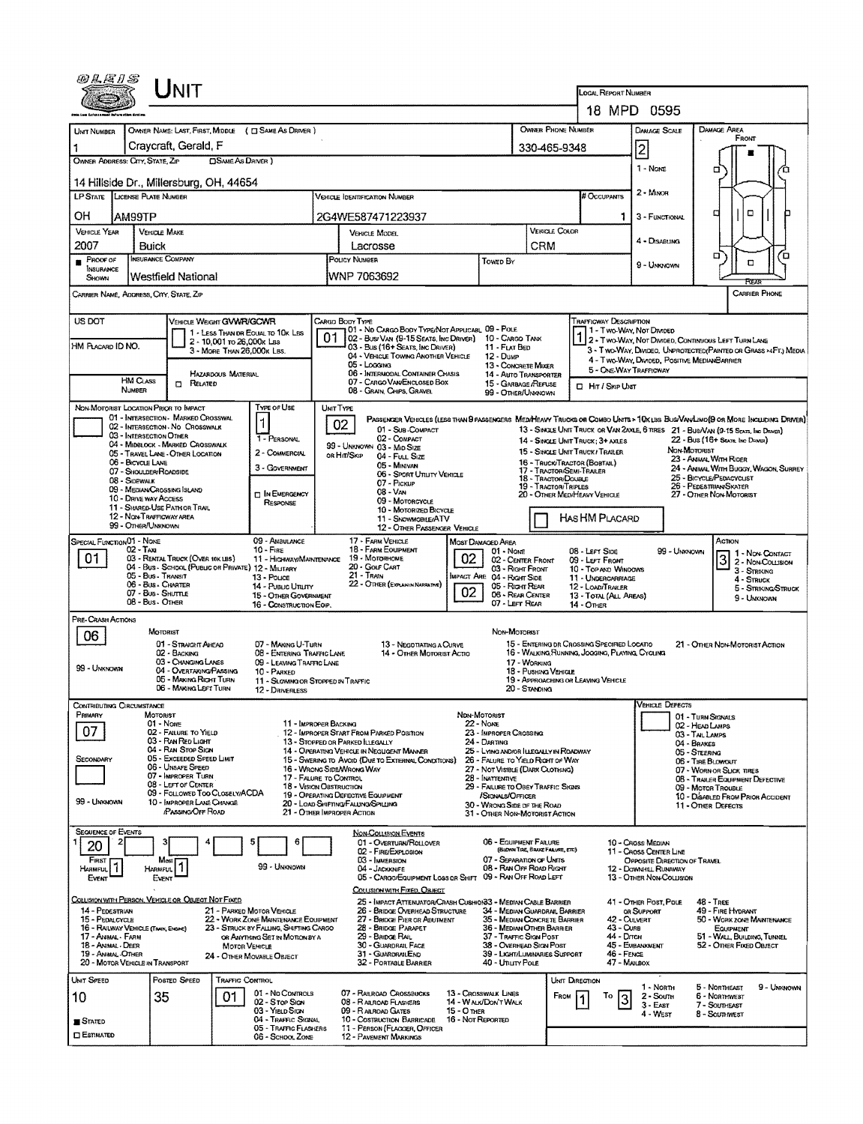| @LEIS                                                                 |                                                      | Jnit                                                                    |                            |                                                                                 |                  |                                                                                                  |                                         |                                                                             |                                      |                                                  | LOCAL REPORT NUMBER                                                                             |                                                        |                                                                                                                                                                                                                   |
|-----------------------------------------------------------------------|------------------------------------------------------|-------------------------------------------------------------------------|----------------------------|---------------------------------------------------------------------------------|------------------|--------------------------------------------------------------------------------------------------|-----------------------------------------|-----------------------------------------------------------------------------|--------------------------------------|--------------------------------------------------|-------------------------------------------------------------------------------------------------|--------------------------------------------------------|-------------------------------------------------------------------------------------------------------------------------------------------------------------------------------------------------------------------|
|                                                                       |                                                      |                                                                         |                            |                                                                                 |                  |                                                                                                  |                                         |                                                                             |                                      |                                                  |                                                                                                 | 18 MPD 0595                                            |                                                                                                                                                                                                                   |
| <b>UNT NUMBER</b>                                                     |                                                      |                                                                         |                            | OWNER NAME: LAST, FIRST, MIDDLE ( C SAME AS DRIVER )                            |                  |                                                                                                  |                                         |                                                                             |                                      | OWNER PHONE NUMBER                               |                                                                                                 | <b>DAMAGE SCALE</b>                                    | DAMAGE AREA                                                                                                                                                                                                       |
|                                                                       |                                                      | Craycraft, Gerald, F                                                    |                            |                                                                                 |                  |                                                                                                  |                                         |                                                                             |                                      | 330-465-9348                                     |                                                                                                 | 2                                                      | FRONT                                                                                                                                                                                                             |
| OWNER ADDRESS: CITY, STATE, ZIP                                       |                                                      |                                                                         | <b>CISAME As DRIVER</b> )  |                                                                                 |                  |                                                                                                  |                                         |                                                                             |                                      |                                                  |                                                                                                 | 1 - None                                               |                                                                                                                                                                                                                   |
| 14 Hillside Dr., Millersburg, OH, 44654                               |                                                      |                                                                         |                            |                                                                                 |                  |                                                                                                  |                                         |                                                                             |                                      |                                                  |                                                                                                 | 2 - MINOR                                              |                                                                                                                                                                                                                   |
| <b>LP STATE</b>                                                       | LICENSE PLATE NUMBER                                 |                                                                         |                            |                                                                                 |                  | <b>VEHICLE IDENTIFICATION NUMBER</b>                                                             |                                         |                                                                             |                                      |                                                  | # Occupants                                                                                     |                                                        |                                                                                                                                                                                                                   |
| ΟH                                                                    | AM99TP                                               |                                                                         |                            |                                                                                 |                  | 2G4WE587471223937                                                                                |                                         |                                                                             |                                      |                                                  | 1.                                                                                              | 3 - FUNCTIONAL                                         | ۵<br>п                                                                                                                                                                                                            |
| <b>VEHICLE YEAR</b>                                                   | <b>VERIOLE MAKE</b>                                  |                                                                         |                            |                                                                                 |                  | VEHICLE MODEL                                                                                    |                                         |                                                                             |                                      | <b>VERICLE COLOR</b>                             |                                                                                                 | 4 - DISABUNG                                           |                                                                                                                                                                                                                   |
| 2007                                                                  | Buick<br>INSURANCE COMPANY                           |                                                                         |                            |                                                                                 |                  | Lacrosse                                                                                         |                                         |                                                                             | <b>CRM</b>                           |                                                  |                                                                                                 |                                                        | σ<br>Έ                                                                                                                                                                                                            |
| PROOF OF<br>INSURANCE<br><b>SHOWN</b>                                 |                                                      | <b>Westfield National</b>                                               |                            |                                                                                 |                  | POLICY NUMBER<br>WNP 7063692                                                                     |                                         | TOWED BY                                                                    |                                      |                                                  |                                                                                                 | 9 - Unionown                                           | O<br>FŒĀR                                                                                                                                                                                                         |
| CARRIER NAME, ADORESS, CITY, STATE, ZP                                |                                                      |                                                                         |                            |                                                                                 |                  |                                                                                                  |                                         |                                                                             |                                      |                                                  |                                                                                                 |                                                        | <b>CARRIER PHONE</b>                                                                                                                                                                                              |
| US DOT                                                                |                                                      | VEHICLE WEIGHT GWWR/GCWR                                                |                            |                                                                                 |                  | CARGO BODY TYPE<br>01 - No CARGO BODY TYPE/NOT APPLICABL 09 - POLE                               |                                         |                                                                             |                                      |                                                  | <b>TRAFFICWAY DESCRIPTION</b>                                                                   |                                                        |                                                                                                                                                                                                                   |
| HM PLACARD ID NO.                                                     |                                                      |                                                                         | 2 - 10,001 ro 26,000x Las  | 1 - LESS THAN OR EQUAL TO 10K LBS                                               |                  | 02 - Bus/Van (9-15 Seats, Inc Driver) 10 - Cargo Tank                                            |                                         |                                                                             |                                      |                                                  |                                                                                                 | 1 - Two-Way, Not Divideo                               | 2 - TWO-WAY, NOT DIVIDED, CONTINUOUS LEFT TURN LANE                                                                                                                                                               |
|                                                                       |                                                      |                                                                         | 3 - MORE THAN 26,000K LBS. |                                                                                 |                  | 03 - Bus (16+ Seats, Inc Driver)<br>04 - VEHICLE TOWING ANOTHER VEHICLE                          |                                         | 11 - FLAT BED<br>$12 - D$ uMP                                               |                                      |                                                  |                                                                                                 | 4 - Two-Way, Divided, Positive MedianBarrier           | 3 - T WO-WAY, DIVIDEO, UNPROTECTEO (PAINTED OR GRASS >4FT.) MEDIA                                                                                                                                                 |
|                                                                       |                                                      |                                                                         | <b>HAZARDOUS MATERIAL</b>  |                                                                                 |                  | 05 - Logging<br>06 - INTERMODAL CONTAINER CHASIS                                                 |                                         | 13 - CONCRETE MIXER<br>14 - Auto Transporter                                |                                      |                                                  | 5 - ONE-WAY TRAFFICWAY                                                                          |                                                        |                                                                                                                                                                                                                   |
|                                                                       | <b>HM CLASS</b><br><b>NUMBER</b>                     | <b>m</b> Related                                                        |                            |                                                                                 |                  | 07 - CARGO VAN ENCLOSED BOX<br>08 - GRAIN, CHIPS, GRAVEL                                         |                                         | 15 - GARBAGE /REFUSE<br>99 - OTHER/UNKNOWN                                  |                                      |                                                  | <b>D</b> Hr / Skip UNT                                                                          |                                                        |                                                                                                                                                                                                                   |
| NON-MOTORIST LOCATION PRIOR TO IMPACT                                 |                                                      |                                                                         |                            | Type of Use                                                                     | <b>UNIT TYPE</b> |                                                                                                  |                                         |                                                                             |                                      |                                                  |                                                                                                 |                                                        |                                                                                                                                                                                                                   |
|                                                                       |                                                      | 01 - INTERSECTION - MARKED CROSSWAL<br>02 - INTERSECTION - NO CROSSWALK |                            |                                                                                 |                  | 02<br>01 - Sub COMPACT                                                                           |                                         |                                                                             |                                      |                                                  |                                                                                                 |                                                        | PASSENGER VEHICLES (LESS THAN 9 PASSENGERS MEDIMEAVY TRUCKS OR COMBO UNITS > 10KLBS BUS/VAV/LIMO(9 OR MORE INCLUDING DRIVER)<br>13 - SINGLE UNIT TRUCK OR VAN 2AXLE, 6 TRES 21 - BUS/VAN (9-15 SEATS, INC DRIVER) |
|                                                                       | 03 - INTERSECTION OTHER                              | 04 - MIDBLOCK - MARKED CROSSWALK                                        |                            | 1 - PERSONAL                                                                    |                  | 02 - COMPACT<br>99 - UNKNOWN 03 - Mid SIZE                                                       |                                         |                                                                             |                                      |                                                  | 14 - SINGLE UNIT TRUCK: 3+ AXLES                                                                |                                                        | 22 - BUS (16+ SEATS, INC DRIVER)                                                                                                                                                                                  |
|                                                                       | 06 - BICYCLE LANE                                    | 05 - TRAVEL LANE - OTHER LOCATION                                       |                            | 2 - COMMERCIAL                                                                  |                  | OR HIT/SKIP<br>04 - Full Size                                                                    |                                         |                                                                             |                                      |                                                  | 15 - SINGLE UNIT TRUCK / TRAILER<br>16 - TRUCK/TRACTOR (BOBTAIL)                                |                                                        | NON-MOTORIST<br>23 - ANNAL WITH RIDER                                                                                                                                                                             |
|                                                                       | 07 - Shoulder/Roadside<br>08 - Sidewalk              |                                                                         |                            | 3 - GOVERNMENT                                                                  |                  | 05 - Minivan<br>06 - SPORT UTILITY VEHICLE                                                       |                                         |                                                                             |                                      | 17 - TRACTOR/SENI-TRAILER<br>18 - TRACTOR/DOUBLE |                                                                                                 |                                                        | 24 - ANIMAL WITH BUGGY, WAGON, SURREY<br>25 - BICYCLE/PEDACYCLIST                                                                                                                                                 |
|                                                                       | 09 - MEDIAN CROSSING ISLAND<br>10 - DRIVE WAY ACCESS |                                                                         |                            | <b>IN EMERGENCY</b>                                                             |                  | 07 - PICKUP<br>$08 - V_{AN}$                                                                     |                                         |                                                                             |                                      | <b>19 - TRACTOR/TRIPLES</b>                      | 20 - OTHER MED/HEAVY VEHICLE                                                                    |                                                        | 26 - PEDESTRIAN/SKATER<br>27 - OTHER NON-MOTORIST                                                                                                                                                                 |
|                                                                       |                                                      | 11 - SHARED-USE PATH OR TRAIL                                           |                            | RESPONSE                                                                        |                  | 09 - MOTORCYCLE<br>10 - Motorizeo Bicycle                                                        |                                         |                                                                             |                                      |                                                  |                                                                                                 |                                                        |                                                                                                                                                                                                                   |
|                                                                       | 12 - Non-Trafficway area<br>99 - OTHER/UNKNOWN       |                                                                         |                            |                                                                                 |                  | 11 - SNOWMOBILE/ATV<br>12 - OTHER PASSENGER VEHICLE                                              |                                         |                                                                             |                                      |                                                  | HAS HM PLACARD                                                                                  |                                                        |                                                                                                                                                                                                                   |
| SPECIAL FUNCTION 01 - NONE                                            | $02 - T$ AXI                                         |                                                                         |                            | 09 - AMBULANCE<br>$10 -$ Fine                                                   |                  | 17 - FARM VEHICLE<br><b>18 - FARM EQUIPMENT</b>                                                  |                                         | Most Damaged Area<br>01 - None                                              |                                      |                                                  | 08 - LEFT SIDE                                                                                  | 99 - Unknown                                           | ACTION                                                                                                                                                                                                            |
| 01                                                                    |                                                      | 03 - RENTAL TRUCK (OVER 10K LBS)                                        |                            | 11 - HIGHWAY/MAINTENANCE<br>04 - Bus - SCHOOL (PUBLIC OR PRIVATE) 12 - MILITARY |                  | 19 - Мотояноме<br>20 - GOLF CART                                                                 | 02                                      | 02 - CENTER FRONT                                                           |                                      |                                                  | 09 - LEFT FROM                                                                                  |                                                        | 1 - Non Contact<br><u>3</u><br>2 - Non-Collision                                                                                                                                                                  |
|                                                                       | 05 - Bus - Transit<br>06 - Bus - Charter             |                                                                         |                            | 13 - Pouce                                                                      |                  | 21 - TRAIN<br>22 - OTHER (EXPLANDINARRATIVE)                                                     |                                         | 03 - Right Front<br>MPACT ARE 04 - RIGHT SIDE                               |                                      |                                                  | 10 - TOP AND WINDOWS<br>11 - UNDERCARRIAGE                                                      |                                                        | 3 - STRIKING<br>4 - STRUCK                                                                                                                                                                                        |
|                                                                       | 07 - Bus - SHUTTLE                                   |                                                                         |                            | 14 - PUBLIC UTILITY<br><b>15 - OTHER GOVERNMENT</b>                             |                  |                                                                                                  | 02                                      | 05 - Right Rear<br>06 - REAR CENTER                                         |                                      |                                                  | 12 - LOAD/TRAILER<br>13 - TOTAL (ALL AREAS)                                                     |                                                        | 5 - STRIKING/STRUCK<br>9 - Unknown                                                                                                                                                                                |
| Pre-Crash Actions                                                     | 08 - Bus - OTHER                                     |                                                                         |                            | 16 - CONSTRUCTION EOIP.                                                         |                  |                                                                                                  |                                         | 07 - LEFT REAR                                                              |                                      |                                                  | <b>14 - OTHER</b>                                                                               |                                                        |                                                                                                                                                                                                                   |
| 06                                                                    | MOTORIST                                             |                                                                         |                            |                                                                                 |                  |                                                                                                  |                                         | Non-Motorist                                                                |                                      |                                                  |                                                                                                 |                                                        |                                                                                                                                                                                                                   |
|                                                                       |                                                      | 01 - STRAIGHT AHEAD<br>02 - BACKING                                     |                            | 07 - MAKING U-TURN<br>08 - ENTERING TRAFFIC LANE                                |                  | 13 - NEGOTIATING A CURVE<br>14 - OTHER MOTORIST ACTIO                                            |                                         |                                                                             |                                      |                                                  | 15 - ENTERING DR CROSSING SPECIFIED LOCATIO<br>16 - WALKING, RUNNING, JOGGING, PLAYING, CYCLING |                                                        | 21 - OTHER NON-MOTORIST ACTION                                                                                                                                                                                    |
| 99 - Unknown                                                          |                                                      | 03 - CHANGING LANES<br>04 - OVERTAKING/PASSING                          |                            | 09 - LEAVING TRAFFIC LANE<br>10 - PARKED                                        |                  |                                                                                                  |                                         |                                                                             | 17 - WORKING<br>18 - Pushing Vehicle |                                                  |                                                                                                 |                                                        |                                                                                                                                                                                                                   |
|                                                                       |                                                      | 05 - MAKING RIGHT TURN<br>06 - MAKING LEFT TURN                         |                            | 11 - Slowing or Stopped in Traffic<br>12 - DRIVERLESS                           |                  |                                                                                                  |                                         |                                                                             | 20 - STANDING                        |                                                  | 19 - APPROACHING OR LEAVING VEHICLE                                                             |                                                        |                                                                                                                                                                                                                   |
| CONTRIBUTING CIRCUMSTANCE                                             |                                                      |                                                                         |                            |                                                                                 |                  |                                                                                                  |                                         |                                                                             |                                      |                                                  |                                                                                                 | <b>VEHICLE DEFECTS</b>                                 |                                                                                                                                                                                                                   |
| Primary                                                               | <b>MOTORIST</b><br>$01 - None$                       |                                                                         |                            | 11 - IMPROPER BACKING                                                           |                  |                                                                                                  | NDN-MOTORIST<br><b>22 - NONE</b>        |                                                                             |                                      |                                                  |                                                                                                 |                                                        | 01 - TURN SKONALS<br>02 - HEAD LAMPS                                                                                                                                                                              |
| 07                                                                    |                                                      | 02 - FAILURE TO YIELD<br>03 - RAN RED LIGHT                             |                            |                                                                                 |                  | 12 - IMPROPER START FROM PARKED POSITION<br>13 - STOPPED OR PARKED LLEGALLY                      |                                         | 23 - IMPROPER CROSSING<br>24 - DARTING                                      |                                      |                                                  |                                                                                                 |                                                        | 03 - TAIL LAMPS<br>04 - BRAKES                                                                                                                                                                                    |
| SECONDARY                                                             |                                                      | 04 - RAN STOP SIGN<br>05 - Exceeded Speed Limit                         |                            |                                                                                 |                  | 14 - Operating Vehicle in Negligent Manner<br>15 - SWERING TO AVOID (DUE TO EXTERNAL CONDITIONS) |                                         | 25 - LYING AND/OR ILLEGALLY IN ROADWAY<br>26 - FALURE TO YIELD RIGHT OF WAY |                                      |                                                  |                                                                                                 |                                                        | 05 - STEERING                                                                                                                                                                                                     |
|                                                                       |                                                      | 06 - UNSAFE SPEED<br>07 - IMPROPER TURN                                 |                            |                                                                                 |                  | 16 - WRONG SIDE/WRONG WAY                                                                        |                                         | 27 - NOT VISIBLE (DARK CLOTHING)                                            |                                      |                                                  |                                                                                                 |                                                        | 06 - TIRE BLOWOUT<br>07 - WORN OR SLICK TIRES                                                                                                                                                                     |
|                                                                       |                                                      | 08 - LEFT OF CENTER<br>09 - FOLLOWED TOO CLOSELY/ACDA                   |                            | 17 - FALURE TO CONTROL<br><b>18 - VISION OBSTRUCTION</b>                        |                  | 19 - OPERATING DEFECTIVE EQUIPMENT                                                               |                                         | 28 - INATTENTIVE<br>29 - FALURE TO OBEY TRAFFIC SIGNS                       |                                      |                                                  |                                                                                                 |                                                        | 08 - TRAILER EQUIPMENT DEFECTIVE<br>09 - MOTOR TROUBLE                                                                                                                                                            |
| 99 - UNKNOWN                                                          |                                                      | 10 - IMPROPER LANE CHANGE<br>PASSING OFF ROAD                           |                            |                                                                                 |                  | 20 - LOAD SHIFTING/FALUNG/SPILLING                                                               |                                         | /SIGNALS/OFFICER<br>30 - WRONG SIDE OF THE ROAD                             |                                      |                                                  |                                                                                                 |                                                        | 10 - Disabled From Prior Accident<br>11 - Other Defects                                                                                                                                                           |
|                                                                       |                                                      |                                                                         |                            |                                                                                 |                  | 21 - OTHER IMPROPER ACTION                                                                       |                                         | 31 - OTHER NON-MOTORIST ACTION                                              |                                      |                                                  |                                                                                                 |                                                        |                                                                                                                                                                                                                   |
| <b>SEQUENCE OF EVENTS</b><br>20                                       |                                                      |                                                                         |                            | θ                                                                               |                  | <b>NON-COLLISION EVENTS</b><br>01 - OVERTURN/ROLLOVER                                            |                                         | 06 - EQUIPMENT FAILURE                                                      |                                      |                                                  |                                                                                                 | 10 - Cross Median                                      |                                                                                                                                                                                                                   |
| FIRST                                                                 |                                                      | Most                                                                    |                            |                                                                                 |                  | 02 - FIRE/EXPLOSION<br>03 - IMMERSION                                                            |                                         | 07 - SEPARATION OF UNITS                                                    | (BLOWN TIRE, BRAKE FALURE, ETC)      |                                                  |                                                                                                 | 11 - Caoss Center Line<br>OPPOSITE DIRECTION OF TRAVEL |                                                                                                                                                                                                                   |
| Harmful,<br>Event                                                     | HARMFUL.<br>EVENT                                    |                                                                         |                            | 99 - UNKNOWN                                                                    |                  | 04 - Jackknife<br>05 - CARGO/EQUIPMENT LOSS OR SHIFT 09 - RAN OFF ROAD LEFT                      |                                         | 08 - RAN OFF ROAD RIGHT                                                     |                                      |                                                  |                                                                                                 | 12 - DOWNHILL RUNAWAY<br>13 - OTHER NON-COLLISION      |                                                                                                                                                                                                                   |
|                                                                       |                                                      |                                                                         |                            |                                                                                 |                  | COLLISION WITH FIXED, OBJECT                                                                     |                                         |                                                                             |                                      |                                                  |                                                                                                 |                                                        |                                                                                                                                                                                                                   |
| COLLISION WITH PERSON, VEHICLE OR OBJECT NOT FIXED<br>14 - PEDESTRIAN |                                                      |                                                                         |                            | 21 - PARKED MOTOR VEHICLE                                                       |                  | 25 - Impact Attenuator/Crash Cushion33 - Median Casle Barrier<br>26 - BRIDGE OVERHEAD STRUCTURE  |                                         | 34 - MEDIAN GUARDRAIL BARRIER                                               |                                      |                                                  |                                                                                                 | 41 - OTHER POST, POLE<br>OR SUPPORT                    | $48 - TBEE$<br>49 - FIRE HYDRANT                                                                                                                                                                                  |
| 15 - PEDALCYCLE<br>16 - RAILWAY VEHICLE (TAAIN, ENGINE)               |                                                      |                                                                         |                            | 22 - WORK ZONE MAINTENANCE EQUIPMENT<br>23 - STRUCK BY FALLING, SHIFTING CARGO  |                  | 27 - BRIDGE PIER OR ABUTMENT<br>28 - BRIDGE PARAPET                                              |                                         | 35 - MEDIAN CONCRETE BARRIER<br>36 - MEDIAN OTHER BARRIER                   |                                      |                                                  | 42 - CULVERT<br>43 - Curs                                                                       |                                                        | 50 - WORK ZONE MAINTENANCE<br><b>EQUIPMENT</b>                                                                                                                                                                    |
| 17 - Annmal - Farm<br>18 - Animal - Deer                              |                                                      |                                                                         | MOTOR VEHICLE              | OR ANYTHING SET IN MOTION BY A                                                  |                  | 29 - Bridge Rail<br>30 - GUARDRAIL FACE                                                          |                                         | 37 - TRAFFIC SIGN POST<br>38 - OVERHEAD SIGN POST                           |                                      |                                                  | 44 - Олон                                                                                       | 45 - EMBANKMENT                                        | 51 - WALL, BUILDING, TUNNEL<br>52 - OTHER FIXED OBJECT                                                                                                                                                            |
| <b>19 - ANIMAL OTHER</b><br>20 - MOTOR VEHICLE IN TRANSPORT           |                                                      |                                                                         |                            | 24 - OTHER MOVABLE OBJECT                                                       |                  | 31 - GUARDRAILEND<br>32 - PORTABLE BARRIER                                                       |                                         | 39 - LIGHT/LUMINARIES SUPPORT<br>40 - UTILITY POLE                          |                                      |                                                  | 46 - FENCE<br>47 - MAILBOX                                                                      |                                                        |                                                                                                                                                                                                                   |
| <b>UNIT SPEED</b>                                                     |                                                      | POSTED SPEED                                                            | TRAFFIC CONTROL            |                                                                                 |                  |                                                                                                  |                                         |                                                                             |                                      | Unit Direction                                   |                                                                                                 |                                                        |                                                                                                                                                                                                                   |
| 10                                                                    | 35                                                   |                                                                         | 01                         | 01 - No Controls<br>02 - Stor Sign                                              |                  | 07 - RAILROAD CROSSBUCKS<br>08 - RAILROAD FLASHERS                                               | 13 - Crosswalk Lines                    | 14 - Walk/Don't Walk                                                        |                                      | FROM 1                                           | То<br>3                                                                                         | 1 - Norm<br>2 - South                                  | 5 - NORTHEAST<br>9 - Unknown<br>6 - NORTHWEST                                                                                                                                                                     |
|                                                                       |                                                      |                                                                         |                            | 03 - YIELD SIGN                                                                 |                  | 09 - RAIROAD GATES                                                                               | <b>15 - O THER</b><br>16 - Not REPORTED |                                                                             |                                      |                                                  |                                                                                                 | $3 - E$ AST<br>4 - West                                | 7 - SOUTHEAST<br>8 - Southwest                                                                                                                                                                                    |
| <b>S</b> TATED<br>$\square$ Estimated                                 |                                                      |                                                                         |                            | 04 - TRAFFIC SIGNAL<br>05 - TRAFFIC FLASHERS                                    |                  | 10 - Costruction Barricade<br>11 - PERSON (FLACKSER, OFFICER                                     |                                         |                                                                             |                                      |                                                  |                                                                                                 |                                                        |                                                                                                                                                                                                                   |
|                                                                       |                                                      |                                                                         |                            | 06 - SCHOOL ZONE                                                                |                  | 12 - PAVEMENT MARKINGS                                                                           |                                         |                                                                             |                                      |                                                  |                                                                                                 |                                                        |                                                                                                                                                                                                                   |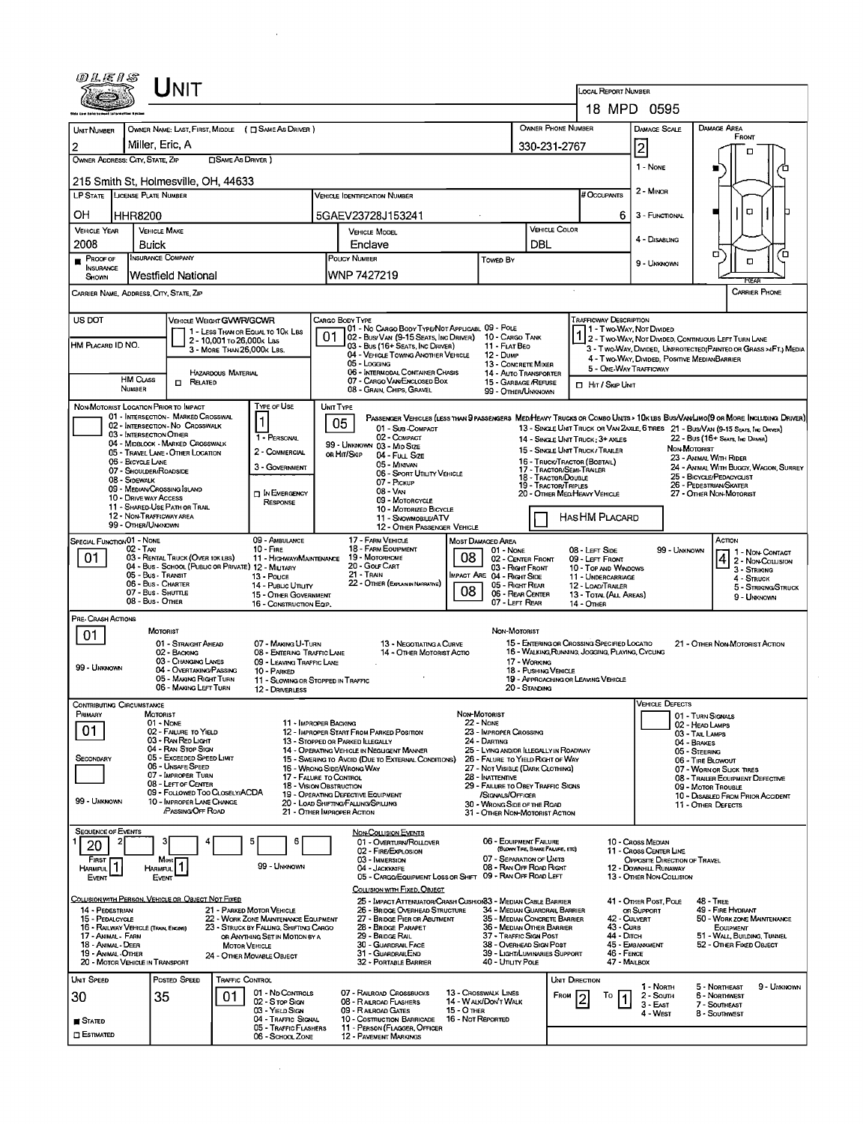|                                                        | UNIT                                                        |                                                                                |                                                                               |                                                                                                             |                                                                       |                                                  | LOCAL REPORT NUMBER                                                 |                                                          |                                                                                                                              |
|--------------------------------------------------------|-------------------------------------------------------------|--------------------------------------------------------------------------------|-------------------------------------------------------------------------------|-------------------------------------------------------------------------------------------------------------|-----------------------------------------------------------------------|--------------------------------------------------|---------------------------------------------------------------------|----------------------------------------------------------|------------------------------------------------------------------------------------------------------------------------------|
|                                                        |                                                             |                                                                                |                                                                               |                                                                                                             |                                                                       |                                                  |                                                                     | 18 MPD 0595                                              |                                                                                                                              |
| UNIT NUMBER                                            | OWNER NAME: LAST, FIRST, MIDDLE ( $\Box$ SAME AS DRIVER )   |                                                                                |                                                                               |                                                                                                             |                                                                       | OWNER PHONE NUMBER                               |                                                                     | DAMAGE SCALE                                             | DAMAGE AREA<br>FRONT                                                                                                         |
| 2                                                      | Miller, Eric, A                                             |                                                                                |                                                                               |                                                                                                             |                                                                       | 330-231-2767                                     |                                                                     | 2                                                        | ▫                                                                                                                            |
| OWNER ADDRESS: CITY, STATE, ZIP                        | <b>CISAME AS DRIVER</b> )                                   |                                                                                |                                                                               |                                                                                                             |                                                                       |                                                  |                                                                     | 1 - None                                                 | ∕о                                                                                                                           |
|                                                        | 215 Smith St, Holmesville, OH, 44633                        |                                                                                |                                                                               |                                                                                                             |                                                                       |                                                  |                                                                     |                                                          |                                                                                                                              |
| LP STATE LICENSE PLATE NUMBER                          |                                                             |                                                                                | <b>VEHICLE IDENTIFICATION NUMBER</b>                                          |                                                                                                             |                                                                       |                                                  | # Occupants                                                         | 2 - MINOR                                                |                                                                                                                              |
|                                                        |                                                             |                                                                                |                                                                               |                                                                                                             |                                                                       |                                                  |                                                                     |                                                          | $\Box$                                                                                                                       |
| OН<br><b>HHR8200</b>                                   |                                                             |                                                                                | 5GAEV23728J153241                                                             |                                                                                                             |                                                                       |                                                  | 6                                                                   | 3 - FUNCTIONAL                                           |                                                                                                                              |
| <b>VEHICLE YEAR</b>                                    | <b>VEHICLE MAKE</b>                                         |                                                                                | <b>VEHICLE MODEL</b>                                                          |                                                                                                             |                                                                       | <b>VEHICLE COLOR</b>                             |                                                                     | 4 - Disabling                                            |                                                                                                                              |
| 2008                                                   | Buick                                                       |                                                                                | Enclave                                                                       |                                                                                                             |                                                                       | DBL                                              |                                                                     |                                                          | σ<br>ם′                                                                                                                      |
| $P$ ROOF OF<br><b>NSURANCE</b>                         | Insurance Company                                           |                                                                                | <b>POUCY NUMBER</b>                                                           |                                                                                                             | Towed By                                                              |                                                  |                                                                     | 9 - Unknown                                              | о                                                                                                                            |
| SHOWN                                                  | Westfield National                                          |                                                                                | WNP 7427219                                                                   |                                                                                                             |                                                                       |                                                  |                                                                     |                                                          |                                                                                                                              |
| CARRIER NAME, ADDRESS, CITY, STATE, ZIP                |                                                             |                                                                                |                                                                               |                                                                                                             |                                                                       |                                                  |                                                                     |                                                          | <b>CARRIER PHONE</b>                                                                                                         |
|                                                        |                                                             |                                                                                |                                                                               |                                                                                                             |                                                                       |                                                  |                                                                     |                                                          |                                                                                                                              |
| US DOT                                                 | <b>VEHICLE WEIGHT GVWR/GCWR</b>                             |                                                                                | CARGO BODY TYPE                                                               |                                                                                                             |                                                                       |                                                  | Trafficway Description                                              |                                                          |                                                                                                                              |
|                                                        | 1 - LESS THAN OR EQUAL TO 10K LBS                           |                                                                                | 01                                                                            | 01 - No Cargo Body Type/Not Applicabl. 09 - Pole<br>  02 - Bus/VAN (9-15 SEATS, INC DRIVER) 10 - CARGO TANK |                                                                       |                                                  | 1 - Two Way, Not Divided<br>1 2 - Two Way Not Divideo               |                                                          | 2 - Two WAY, NOT DIVIDED, CONTINUOUS LEFT TURN LANE                                                                          |
| HM PLACARD ID NO.                                      | 2 - 10,001 To 26,000K Las<br>3 - MORE THAN 26,000K LBS.     |                                                                                |                                                                               | 03 - Bus (16+ SEATS, INC DRIVER)                                                                            | 11 - FLAT BEO                                                         |                                                  |                                                                     |                                                          | 3 - Two-Way, Divided, UNPROTECTED (PAINTEO OR GRASS >4FT.) MEDIA                                                             |
|                                                        |                                                             |                                                                                | $05 -$ Loggive                                                                | 04 - VEHICLE TOWING ANOTHER VEHICLE                                                                         | 12 - Dump<br>13 - CONCRETE MIXER                                      |                                                  |                                                                     |                                                          | 4 - Two-WAY, DIVIDED, POSITIVE MEDIANBARRIER                                                                                 |
| <b>HM CLASS</b>                                        | <b>HAZARDOUS MATERIAL</b>                                   |                                                                                |                                                                               | 06 - INTERMODAL CONTAINER CHASIS                                                                            | 14 - AUTO TRANSPORTER                                                 |                                                  | 5 - ONE-WAY TRAFFICWAY                                              |                                                          |                                                                                                                              |
| <b>NUMBER</b>                                          | $\Box$ Related                                              |                                                                                | 08 - GRAIN, CHIPS, GRAVEL                                                     | 07 - CARGO VAN ENCLOSED BOX                                                                                 | 15 - GARBAGE / REFUSE<br>99 - OTHER/UNKNOWN                           |                                                  | <b>D</b> HIT / SKIP UNIT                                            |                                                          |                                                                                                                              |
| NON-MOTORIST LOCATION PRIOR TO IMPACT                  |                                                             | TYPE OF USE                                                                    | UNIT TYPE                                                                     |                                                                                                             |                                                                       |                                                  |                                                                     |                                                          |                                                                                                                              |
|                                                        | 01 - INTERSECTION - MARKED CROSSWAL                         |                                                                                |                                                                               |                                                                                                             |                                                                       |                                                  |                                                                     |                                                          | PASSENGER VEHICLES (LESS THAN 9 PASSENGERS MEDIHEAVY TRUCKS OR COMBO UNTS > 10K LBS BUS/VAN/LIMO(9 OR MORE INCLUDING DRIVER) |
|                                                        | 02 - INTERSECTION - NO CROSSWALK<br>03 - INTERSECTION OTHER |                                                                                | 05                                                                            | 01 - Sub COMPACT                                                                                            |                                                                       |                                                  |                                                                     |                                                          | 13 - SINGLE UNIT TRUCK OR VAN 2AXLE, 6 TIRES 21 - BUS/VAN (9-15 SEATS, INC DRIVER)                                           |
|                                                        | 04 - MIDBLOCK - MARKED CROSSWALK                            | 1 - PERSONAL                                                                   | 99 - UNKNOWN 03 - MID SIZE                                                    | 02 - COMPACT                                                                                                |                                                                       |                                                  | 14 - SINGLE UNIT TRUCK: 3+ AXLES<br>15 - SINGLE UNIT TRUCK/ TRAILER |                                                          | 22 - Bus (16+ Seats, Inc Draver)<br>NON-MOTORIST                                                                             |
| 06 - BICYCLE LANE                                      | 05 - TRAVEL LANE - OTHER LOCATION                           | 2 - COMMERCIAL                                                                 | OR HIT/SKIP                                                                   | 04 - Full Size<br>05 - Minavan                                                                              |                                                                       |                                                  | 16 - TRUCK/TRACTOR (BOBTAIL)                                        |                                                          | 23 - ANIMAL WITH RIDER                                                                                                       |
|                                                        | 07 - SHOULDER/ROADSIDE                                      | 3 - GOVERNMENT                                                                 |                                                                               | 06 - Sport Utility Vehicle                                                                                  |                                                                       | 17 - TRACTOR/SEMI-TRAILER<br>18 - TRACTOR/DOUBLE |                                                                     |                                                          | 24 - ANIMAL WITH BUGGY, WAGON, SURREY<br>25 - BICYCLE/PEDACYCLIST                                                            |
| 08 - Sidewalk                                          | 09 - MEDIAN CROSSING ISLAND                                 |                                                                                | 07 - PICKUP<br>08 - Van                                                       |                                                                                                             |                                                                       | <b>19 - TRACTOR/TRIPLES</b>                      |                                                                     |                                                          | 26 - PEDESTRIAN/SKATER                                                                                                       |
|                                                        | 10 - Drive way Access                                       | <b>DIN EMERGENCY</b><br>RESPONSE                                               |                                                                               | 09 - MOTORCYCLE                                                                                             |                                                                       |                                                  | 20 - OTHER MEDIHEAVY VEHICLE                                        |                                                          | 27 - OTHER NON-MOTORIST                                                                                                      |
|                                                        | 11 - SHARED-USE PATH OR TRAIL<br>12 - NON TRAFFICWAY AREA   |                                                                                |                                                                               | 10 - MOTORIZED BICYCLE<br>11 - SNOWMOBILE/ATV                                                               |                                                                       |                                                  | HAS HM PLACARD                                                      |                                                          |                                                                                                                              |
|                                                        | 99 - OTHER/UNKNOWN                                          |                                                                                |                                                                               | 12 - OTHER PASSENGER VEHICLE                                                                                |                                                                       |                                                  |                                                                     |                                                          |                                                                                                                              |
| SPECIAL FUNCTION 01 - NONE                             |                                                             | 09 - AMBULANCE                                                                 | 17 - FARM VEHICLE                                                             |                                                                                                             | Most Damaged Area                                                     |                                                  |                                                                     |                                                          | Астом                                                                                                                        |
| 02 - TAXI<br>01                                        | 03 - RENTAL TRUCK (OVER 10K LBS)                            | $10 - F$ IRE<br>11 - HIGHWAY/MAINTENANCE                                       | 18 - FARM EOUIPMENT<br>19 - Мотокноме                                         | 08                                                                                                          | 01 - None<br>02 - CENTER FRONT                                        |                                                  | 08 - LEFT SIDE<br>09 - LEFT FRONT                                   |                                                          | 99 - UNKNOWN<br>1 1 - Non-Contact<br>4 2 - Non-Contact                                                                       |
|                                                        | 04 - BUS - SCHOOL (PUBLIC OR PRIVATE) 12 - MILITARY         |                                                                                | 20 - Golf Cart                                                                |                                                                                                             | 03 - Right Front                                                      |                                                  | 10 - Top and Windows                                                |                                                          | 3 - STRIKING                                                                                                                 |
|                                                        | 05 - Bus - Transit<br>06 - Bus - CHARTER                    | 13 - Pouce<br>14 - Pusuc Unury                                                 | 21 - TRAN<br>22 - OTHER (EXPLAIN IN NARRATIVE)                                |                                                                                                             | <b>IMPACT ARE 04 - RIGHT SIDE</b><br>05 - Right Rear                  |                                                  | 11 - UNDERCARRIAGE<br>12 - LOAD/TRAILER                             |                                                          | 4 - STRUCK<br>5 - STRIKING/STRUCK                                                                                            |
|                                                        | 07 - Bus - SHUTTLE<br>08 - Bus - Other                      | 15 - OTHER GOVERNMENT                                                          |                                                                               | 08                                                                                                          | 06 - REAR CENTER<br>07 - LEFT REAR                                    |                                                  | 13 - TOTAL (ALL AREAS)                                              |                                                          | 9 - Unknown                                                                                                                  |
|                                                        |                                                             | 16 - CONSTRUCTION EQIP.                                                        |                                                                               |                                                                                                             |                                                                       |                                                  | 14 - Отнев                                                          |                                                          |                                                                                                                              |
| PRE- CRASH ACTIONS                                     | MOTORIST                                                    |                                                                                |                                                                               |                                                                                                             | NON-MOTORIST                                                          |                                                  |                                                                     |                                                          |                                                                                                                              |
| 01                                                     | 01 - Straight Ahead                                         | 07 - MAKING U-TURN                                                             |                                                                               | 13 - NEGOTIATING A CURVE                                                                                    |                                                                       |                                                  | 15 - ENTERING OR CROSSING SPECIFIED LOCATIO                         |                                                          | 21 - OTHER NON-MOTORIST ACTION                                                                                               |
|                                                        | 02 - BACKING                                                | 08 - ENTERING TRAFFIC LANE                                                     |                                                                               | 14 - OTHER MOTORIST ACTIO                                                                                   |                                                                       |                                                  | 16 - WALKING RUNNING, JOGGING, PLAYING, CYCLING                     |                                                          |                                                                                                                              |
| 99 - UNKNOWN                                           | 03 - Changing Lanes<br>04 - OVERTAKING/PASSING              | 09 - LEAVING TRAFFIC LANE<br>10 - PARKED                                       |                                                                               |                                                                                                             |                                                                       | 17 - WORKING<br>18 - Pushing Vehicle             |                                                                     |                                                          |                                                                                                                              |
|                                                        | 05 - MAKING RIGHT TURN                                      |                                                                                | 11 - Slowing or Stopped in Traffic                                            |                                                                                                             |                                                                       |                                                  | 19 - APPROACHING OR LEAVING VEHICLE                                 |                                                          |                                                                                                                              |
|                                                        | 06 - MAKING LEFT TURN                                       | 12 - DRIVERLESS                                                                |                                                                               |                                                                                                             |                                                                       | 20 - Standing                                    |                                                                     |                                                          |                                                                                                                              |
| Contributing Circumstance                              |                                                             |                                                                                |                                                                               |                                                                                                             |                                                                       |                                                  |                                                                     | <b>VEHICLE DEFECTS</b>                                   |                                                                                                                              |
| PRIMARY                                                | MOTORIST<br>01 - None                                       |                                                                                | 11 - IMPROPER BACKING                                                         |                                                                                                             | <b>NON-MOTORIST</b><br><b>22 - None</b>                               |                                                  |                                                                     |                                                          | 01 - TURN SIGNALS<br>02 - HEAD LAMPS                                                                                         |
| 01                                                     | 02 - FAILURE TO YIELD<br>03 - RAN RED LIGHT                 |                                                                                | 12 - IMPROPER START FROM PARKED POSITION                                      |                                                                                                             | 23 - IMPROPER CROSSING                                                |                                                  |                                                                     |                                                          | 03 - TAL LAMPS                                                                                                               |
|                                                        | 04 - RAN STOP SIGN                                          |                                                                                | 13 - Stopped or Parked Illegally<br>14 - Operating Vehicle in Negugent Manner |                                                                                                             | 24 - DARTING<br>25 - LYING AND/OR LLEGALLY IN ROADWAY                 |                                                  |                                                                     |                                                          | 04 - BRAKES<br>05 - STEERING                                                                                                 |
| SECONDARY                                              | 05 - Exceeded Speed LIMIT<br>06 - UNSAFE SPEED              |                                                                                | 15 - SWERING TO AVOID (DUE TO EXTERNAL CONDITIONS)                            |                                                                                                             | 26 - FALURE TO YIELD RIGHT OF WAY<br>27 - NOT VISIBLE (DARK CLOTHING) |                                                  |                                                                     |                                                          | 06 - TIRE BLOWOUT                                                                                                            |
|                                                        | 07 - IMPROPER TURN                                          |                                                                                | 16 - Wrong Side/Wrong Way<br>17 - FALURE TO CONTROL                           |                                                                                                             | 28 - INATTENTIVE                                                      |                                                  |                                                                     |                                                          | 07 - WORN OR SLICK TIRES<br>08 - TRAILER EQUIPMENT DEFECTIVE                                                                 |
|                                                        | 08 - LEFT OF CENTER<br>09 - FOLLOWED TOO CLOSELY/ACDA       |                                                                                | <b>18 - VISION OBSTRUCTION</b><br>19 - OPERATING DEFECTIVE EQUIPMENT          |                                                                                                             | 29 - FAILURE TO OBEY TRAFFIC SIGNS<br>/SIGNALS/OFFICER                |                                                  |                                                                     |                                                          | 09 - MOTOR TROUBLE                                                                                                           |
| 99 - UNKNOWN                                           | 10 - IMPROPER LANE CHANGE                                   |                                                                                | 20 - LOAD SHIFTING/FALUNG/SPILLING                                            |                                                                                                             | 30 - WRONG SIDE OF THE ROAD                                           |                                                  |                                                                     |                                                          | 10 - DISABLED FROM PRIOR ACCIDENT<br>11 - Other Defects                                                                      |
|                                                        | <b>PASSING OFF ROAD</b>                                     |                                                                                | 21 - OTHER IMPROPER ACTION                                                    |                                                                                                             | 31 - OTHER NON-MOTORIST ACTION                                        |                                                  |                                                                     |                                                          |                                                                                                                              |
| <b>SEQUENCE OF EVENTS</b>                              |                                                             |                                                                                | <b>NON-COLLISION EVENTS</b>                                                   |                                                                                                             |                                                                       |                                                  |                                                                     |                                                          |                                                                                                                              |
| 20                                                     |                                                             | 6<br>5                                                                         |                                                                               | 01 - Overturn/ROLLOVER                                                                                      | 06 - EQUIPMENT FAILURE                                                | (BLOWN TIRE, BRAKE FAILURE, ETC)                 |                                                                     | 10 - Cross Median                                        |                                                                                                                              |
| First F                                                | Most                                                        |                                                                                | 02 - FIRE/EXPLOSION<br>03 - IMMERSION                                         |                                                                                                             | 07 - SEPARATION OF UMITS                                              |                                                  |                                                                     | 11 - Cross CENTER LINE<br>OPPOSITE DIRECTION OF TRAVEL   |                                                                                                                              |
| HARMFUL <sup>1</sup>                                   | <b>HARMFUL</b><br>EVENT                                     | 99 - UNKNOWN                                                                   | 04 - JACKKNIFE                                                                | 05 - CARGO/EQUIPMENT LOSS OR SHIFT 09 - RAN OFF ROAD LEFT                                                   | 08 - RAN OFF ROAD RIGHT                                               |                                                  |                                                                     | <b>12 - DOWNHILL RUNAWAY</b><br>13 - Other Non-Collision |                                                                                                                              |
| <b>EVENT</b>                                           |                                                             |                                                                                |                                                                               | COLLISION WITH FIXED, OBJECT                                                                                |                                                                       |                                                  |                                                                     |                                                          |                                                                                                                              |
|                                                        | COLLISION WITH PERSON, VEHICLE OR OBJECT NOT FIXED          |                                                                                |                                                                               | 25 - IMPACT ATTENUATOR/CRASH CUSHION33 - MEDIAN CABLE BARRIER                                               |                                                                       |                                                  |                                                                     | 41 - OTHER POST, POLE                                    | <b>48 - TREE</b>                                                                                                             |
| 14 - PEDESTRIAN                                        |                                                             | 21 - PARKED MOTOR VEHICLE                                                      |                                                                               | 26 - BRIDGE OVERHEAD STRUCTURE                                                                              | 34 - MEDIAN GUARDRAIL BARRIER                                         |                                                  |                                                                     | OR SUPPORT                                               | 49 - FIRE HYDRANT                                                                                                            |
| 15 - PEDALCYCLE<br>16 - RAILWAY VEHICLE (TRAIN ENGINE) |                                                             | 22 - WORK ZONE MAINTENANCE EQUIPMENT<br>23 - STRUCK BY FALLING, SHIFTING CARGO | 28 - BRIDGE PARAPET                                                           | 27 - BRIDGE PIER OR ABUTMENT                                                                                | 35 - MEDIAN CONCRETE BARRIER<br>36 - MEDIAN OTHER BARRIER             |                                                  | 42 - CULVERT<br>43 - Curs                                           |                                                          | 50 - WORK ZONE MAINTENANCE<br>EOUIPMENT                                                                                      |
|                                                        |                                                             | OR ANYTHING SET IN MOTION BY A                                                 | 29 - BRIDGE RAIL                                                              |                                                                                                             | 37 - TRAFFIC SIGN POST<br>38 - Overhead Sign Post                     |                                                  | 44 - Олтсн                                                          | 45 - EMBANKMENT                                          | 51 - WALL, BUILDING, TUNNEL<br>52 - OTHER FIXED OBJECT                                                                       |
| 17 - Animal - Farm                                     |                                                             |                                                                                | 30 - GUARDRAIL FACE                                                           |                                                                                                             |                                                                       | 39 - LIGHT/LUMINARIES SUPPORT                    | 46 - FENCE                                                          |                                                          |                                                                                                                              |
| 18 - Animal - Deer<br>19 - ANIMAL-OTHER                | <b>MOTOR VEHICLE</b>                                        | 24 - OTHER MOVABLE OBJECT                                                      | 31 - Guardral End                                                             |                                                                                                             |                                                                       |                                                  |                                                                     |                                                          |                                                                                                                              |
| 20 - MOTOR VEHICLE IN TRANSPORT                        |                                                             |                                                                                | 32 - PORTABLE BARRIER                                                         |                                                                                                             | 40 - Unuty Pole                                                       |                                                  | 47 - MAILBOX                                                        |                                                          |                                                                                                                              |
| Unit Speed                                             | Posted Speed<br>TRAFFIC CONTROL                             |                                                                                |                                                                               |                                                                                                             |                                                                       |                                                  | UNIT DIRECTION                                                      |                                                          |                                                                                                                              |
|                                                        | 01                                                          | 01 - No Controls                                                               | 07 - RAILROAD CROSSBUCKS                                                      |                                                                                                             | <b>13 - CROSSWALK LINES</b>                                           | FROM                                             | To                                                                  | 1 - North<br>2 - South                                   | 9 - UMKNOWN<br>5 - Northeast<br><b>6 - NORTHWEST</b>                                                                         |
| 30                                                     | 35                                                          | 02 - S TOP SIGN<br>03 - YIELD SIGN                                             | 08 - RAILROAD FLASHERS<br>09 - RAILROAD GATES                                 | <b>15 - O THER</b>                                                                                          | 14 - WALK/DON'T WALK                                                  |                                                  |                                                                     | 3 - East                                                 | 7 - SOUTHEAST                                                                                                                |
| ■ Stated                                               |                                                             | 04 - TRAFFIC SIGNAL<br><b>05 - TRAFFIC FLASHERS</b>                            | 10 - Costruction Barricade<br>11 - PERSON (FLAGGER, OFFICER                   |                                                                                                             | 16 - Not Reported                                                     |                                                  |                                                                     | 4 - WEST                                                 | 8 - Southwest                                                                                                                |

 $\bar{\beta}$ 

 $\sim 10^{-1}$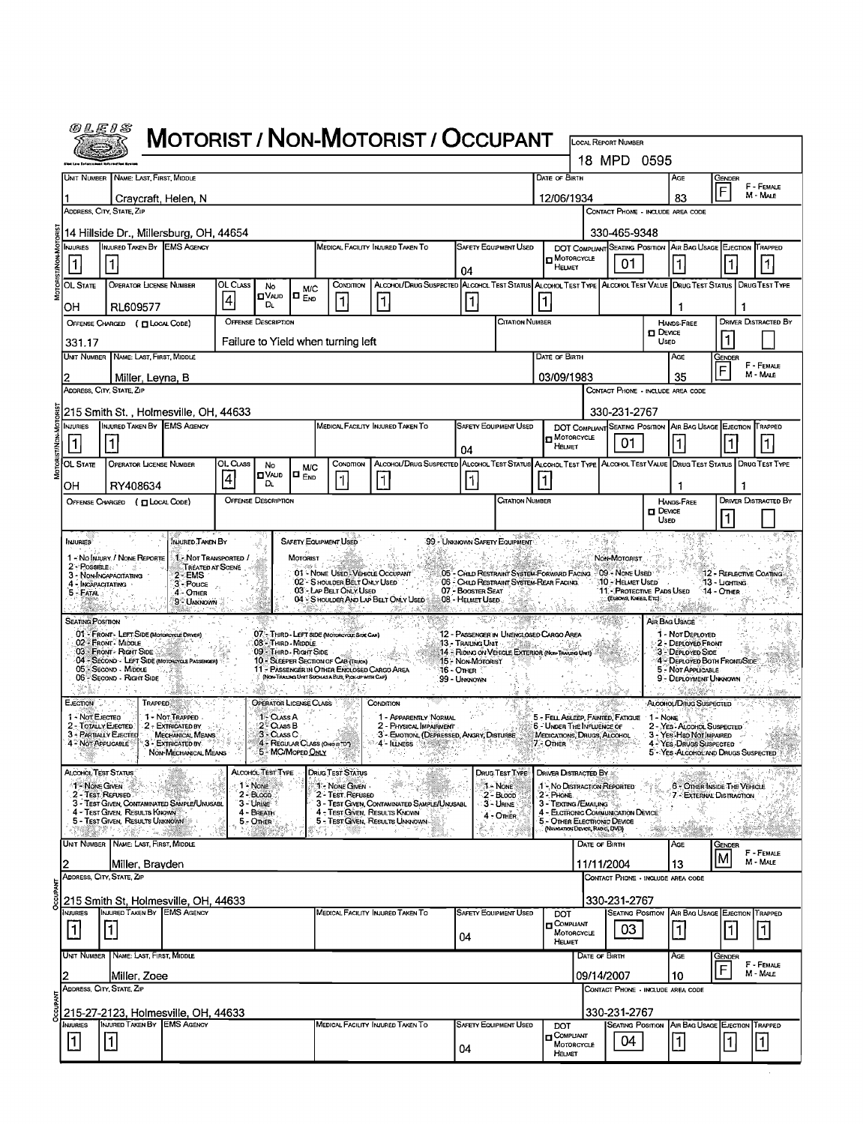| @LE1S                                                             |                                                                                           |                                                                   |                 |                                                |                                  |                                                                                                                                           | <b>MOTORIST / NON-MOTORIST / OCCUPANT</b>                                                                              |                                                                          |                              |                                                                        |                                                  | <b>LOCAL REPORT NUMBER</b>                                                   |                                   |                                                                                      |                          |                             |
|-------------------------------------------------------------------|-------------------------------------------------------------------------------------------|-------------------------------------------------------------------|-----------------|------------------------------------------------|----------------------------------|-------------------------------------------------------------------------------------------------------------------------------------------|------------------------------------------------------------------------------------------------------------------------|--------------------------------------------------------------------------|------------------------------|------------------------------------------------------------------------|--------------------------------------------------|------------------------------------------------------------------------------|-----------------------------------|--------------------------------------------------------------------------------------|--------------------------|-----------------------------|
|                                                                   |                                                                                           |                                                                   |                 |                                                |                                  |                                                                                                                                           |                                                                                                                        |                                                                          |                              |                                                                        |                                                  | 18 MPD 0595                                                                  |                                   |                                                                                      |                          |                             |
|                                                                   | UNIT NUMBER   NAME: LAST, FIRST, MIDDLE                                                   |                                                                   |                 |                                                |                                  |                                                                                                                                           |                                                                                                                        |                                                                          |                              | Date of Birth                                                          |                                                  |                                                                              |                                   | AGE                                                                                  | GENDER                   |                             |
|                                                                   | Craycraft, Helen, N                                                                       |                                                                   |                 |                                                |                                  |                                                                                                                                           |                                                                                                                        |                                                                          |                              | 12/06/1934                                                             |                                                  |                                                                              |                                   | 83                                                                                   | F                        | F - FEMALE<br>M - MALE      |
|                                                                   | ADDRESS, CITY, STATE, ZIP                                                                 |                                                                   |                 |                                                |                                  |                                                                                                                                           |                                                                                                                        |                                                                          |                              |                                                                        |                                                  | CONTACT PHONE - INCLUDE AREA CODE                                            |                                   |                                                                                      |                          |                             |
|                                                                   | 14 Hillside Dr., Millersburg, OH, 44654                                                   |                                                                   |                 |                                                |                                  |                                                                                                                                           |                                                                                                                        |                                                                          |                              |                                                                        |                                                  | 330-465-9348                                                                 |                                   |                                                                                      |                          |                             |
| <b>NJURIES</b><br>$\vert$ 1                                       | INJURED TAKEN BY EMS AGENCY                                                               |                                                                   |                 |                                                |                                  |                                                                                                                                           | MEDICAL FACILITY INJURED TAKEN TO                                                                                      |                                                                          | <b>SAFETY EQUIPMENT USED</b> | n Motorcycle                                                           |                                                  | 01                                                                           |                                   | DOT COMPLIANT SEATING POSITION AIR BAG USAGE EJECTION TRAPPED                        |                          | 11                          |
| OL STATE                                                          | <b>OPERATOR LICENSE NUMBER</b>                                                            |                                                                   | OL CLASS        |                                                |                                  | CONDITION                                                                                                                                 | ALCOHOL/DRUG SUSPECTED ALCOHOL TEST STATUS ALCOHOL TEST TYPE ALCOHOL TEST VALUE DRUG TEST STATUS                       | 04                                                                       |                              | HELMET                                                                 |                                                  |                                                                              |                                   |                                                                                      |                          | <b>DRUGTEST TYPE</b>        |
|                                                                   |                                                                                           |                                                                   | $\vert 4 \vert$ | No<br>⊡∨ש<br>DL.                               | <b>M/C</b><br>$\blacksquare$ End | $\mathbf{1}$                                                                                                                              | $\vert$ 1                                                                                                              | 1                                                                        |                              |                                                                        |                                                  |                                                                              |                                   |                                                                                      |                          |                             |
| OН                                                                | RL609577<br>OFFENSE CHARGED ( LOCAL CODE)                                                 |                                                                   |                 | <b>OFFENSE DESCRIPTION</b>                     |                                  |                                                                                                                                           |                                                                                                                        |                                                                          | CITATION NUMBER              |                                                                        |                                                  |                                                                              |                                   | 1<br><b>HANDS-FREE</b>                                                               |                          | <b>DRIVER DISTRACTED BY</b> |
| 331.17                                                            |                                                                                           |                                                                   |                 |                                                |                                  | Failure to Yield when turning left                                                                                                        |                                                                                                                        |                                                                          |                              |                                                                        |                                                  |                                                                              | $D$ Device<br>Usep                |                                                                                      |                          |                             |
| Unit Number                                                       | NAME: LAST, FIRST, MIDDLE                                                                 |                                                                   |                 |                                                |                                  |                                                                                                                                           |                                                                                                                        |                                                                          |                              | DATE OF BIRTH                                                          |                                                  |                                                                              |                                   | AGE                                                                                  | Gender                   | F - FEMALE                  |
|                                                                   | Miller, Leyna, B                                                                          |                                                                   |                 |                                                |                                  |                                                                                                                                           |                                                                                                                        |                                                                          |                              | 03/09/1983                                                             |                                                  |                                                                              |                                   | 35                                                                                   | F                        | M - MALE                    |
|                                                                   | ADDRESS, CITY, STATE, ZIP                                                                 |                                                                   |                 |                                                |                                  |                                                                                                                                           |                                                                                                                        |                                                                          |                              |                                                                        |                                                  | CONTACT PHONE - INCLUDE AREA CODE                                            |                                   |                                                                                      |                          |                             |
| <b>NJURIES</b>                                                    | 215 Smith St., Holmesville, OH, 44633<br>INJURED TAKEN BY EMS AGENCY                      |                                                                   |                 |                                                |                                  |                                                                                                                                           | MEDICAL FACILITY INJURED TAKEN TO                                                                                      |                                                                          | <b>SAFETY EQUIPMENT USED</b> |                                                                        |                                                  | 330-231-2767                                                                 |                                   | DOT COMPLIANT SEATING POSITION AIR BAG USAGE EJECTION TRAPPED                        |                          |                             |
|                                                                   |                                                                                           |                                                                   |                 |                                                |                                  |                                                                                                                                           |                                                                                                                        | 04                                                                       |                              | <b>n</b> Motorcycle<br>HELMET                                          |                                                  | 01                                                                           |                                   |                                                                                      |                          | 1                           |
| $OL$ State                                                        | <b>OPERATOR LICENSE NUMBER</b>                                                            |                                                                   | OL CLASS        | No                                             | <b>M/C</b>                       | CONDITION                                                                                                                                 | ALCOHOL/DRUG SUSPECTED ALCOHOL TEST STATUS ALCOHOL TEST TYPE ALCOHOL TEST VALUE DRUG TEST STATUS DRUG TEST TYPE        |                                                                          |                              |                                                                        |                                                  |                                                                              |                                   |                                                                                      |                          |                             |
| OH                                                                | RY408634                                                                                  |                                                                   | 4               | ם∨∧∟ום<br>DL.                                  | $\blacksquare$ $_{\sf{END}}$     |                                                                                                                                           | 11                                                                                                                     | 1                                                                        |                              |                                                                        |                                                  |                                                                              |                                   | 1                                                                                    |                          |                             |
|                                                                   | OFFENSE CHARGED ( CLOCAL CODE)                                                            |                                                                   |                 | <b>OFFENSE DESCRIPTION</b>                     |                                  |                                                                                                                                           |                                                                                                                        |                                                                          | <b>CITATION NUMBER</b>       |                                                                        |                                                  |                                                                              | $\Box$ Device                     | <b>HANDS-FREE</b>                                                                    |                          | <b>DRIVER DISTRACTED BY</b> |
|                                                                   |                                                                                           |                                                                   |                 |                                                |                                  |                                                                                                                                           |                                                                                                                        |                                                                          |                              |                                                                        |                                                  |                                                                              | Useo                              |                                                                                      | l1                       |                             |
| <b>INJURIES</b>                                                   |                                                                                           | INJURED TAKEN BY                                                  |                 |                                                |                                  | <b>SAFETY EQUIPMENT USED</b>                                                                                                              |                                                                                                                        | 99 - UNKNOWN SAFETY EQUIPMENT                                            |                              |                                                                        |                                                  |                                                                              |                                   |                                                                                      |                          |                             |
|                                                                   | 1 - No INJURY / NONE REPORTE<br><b>2-Possible</b> and the state<br>3 - NON-INCAPACITATING | 1 - Not Transported /<br>Treated at Scene<br>$2 - EMS$            |                 |                                                | <b>MOTORIST</b>                  | 01 - NONE USED - VEHICLE OCCUPANT                                                                                                         |                                                                                                                        | 05 - CHILD RESTRAINT SYSTEM-FORWARD FACING 09 - NONE USED                |                              |                                                                        |                                                  | NON-MOTORIST                                                                 |                                   |                                                                                      | 12 - Reflective Coating  |                             |
| 4 - INCAPACITATING .<br>$5 - FATAL$                               |                                                                                           | 3 - Pouce<br>4 - Other                                            |                 |                                                |                                  | 02 - SHOULDER BELT ONLY USED<br>03 - LAP BELT ONLY USED                                                                                   |                                                                                                                        | 06 - Child Restraint System-Rear Facing.<br>07 - BOOSTER SEAT            |                              |                                                                        |                                                  | <b>10 - Helmet Used</b><br>11 - Protective Pads Used<br>(ELBOWS, KNEES, ETC) |                                   |                                                                                      | 13 - Цалма<br>14 - OTHER |                             |
|                                                                   |                                                                                           | 9 - Unknown                                                       |                 |                                                |                                  |                                                                                                                                           | 04 - Shoulder And Lap Belt Only Used                                                                                   | 08 - HELMET USED.                                                        |                              |                                                                        |                                                  |                                                                              |                                   |                                                                                      |                          |                             |
| <b>SEATING POSITION</b>                                           | 01 - FRONT - LEFT SIDE (MOTORCYCLE DRIVER)                                                |                                                                   |                 |                                                |                                  | 07 - THIRD - LEFT SIDE (MOTOROYOL SIDE CAR)                                                                                               |                                                                                                                        | 12 - PASSENGER IN UNENCLOSED CARGO AREA                                  |                              |                                                                        |                                                  |                                                                              | AIR BAG USAGE                     | 1 - Not DEPLOYED                                                                     |                          |                             |
|                                                                   | 02 FRONT MIDDLE<br>03 FRONT - RIGHT SIDE<br>04 - SECOND LEFT SIDE (MOTOROYGLE PASSENGER)  |                                                                   |                 | 08 - Third - Middle<br>09 - THIRD - RIGHT SIDE |                                  |                                                                                                                                           |                                                                                                                        | 13 - TRAILING UNIT<br>14 - RIDING ON VEHICLE EXTERIOR (NON-TRASING UNIT) |                              |                                                                        |                                                  |                                                                              |                                   | 2 - DEPLOYED FRONT<br>3 - DEPLOYED SIDE<br>4 - DEPLOYED BOTH FRONT/SIDE              |                          |                             |
|                                                                   | 05 SECOND - MIDDLE<br>06 SECOND - RIGHT SIDE                                              |                                                                   |                 |                                                |                                  | 10 - SLEEPER SECTION OF CAB (TRUCK)<br>11 - PASSENGER IN OTHER ENCLOSED CARGO AREA<br>(NON-TRAILING UNIT SUCH AS A BUS, PICK-UP WITH CAP) |                                                                                                                        | 15 - Non-Motorist<br>ୀ6 - Omer<br>99 - UNKNOWN                           |                              |                                                                        |                                                  |                                                                              |                                   | 5 - NOT APPLICABLE<br>9 - DEPLOYMENT UNKNOWN                                         |                          |                             |
|                                                                   |                                                                                           |                                                                   |                 | <b>OPERATOR LICENSE CLASS</b>                  |                                  |                                                                                                                                           |                                                                                                                        |                                                                          |                              |                                                                        |                                                  |                                                                              |                                   |                                                                                      |                          |                             |
| EJECTION<br>1 - Not Ejecten                                       | Trapped                                                                                   | 1 - Not Trapped.                                                  |                 | 1 - CLASS A                                    |                                  |                                                                                                                                           | CONDITION<br>1 - APPARENTLY NORMAL                                                                                     |                                                                          |                              |                                                                        |                                                  | 5 - FELL ASLEEP, FAINTED, FATIGUE 1 - NONE                                   |                                   | ALCOHOL/DRUG SUSPECTED                                                               |                          |                             |
| 2 - Totally Ejected<br>3 - PARTIALLY EJECTED<br>4 - NOT APPUCABLE |                                                                                           | 2 - Extricated by<br><b>MECHANICAL MEANS</b><br>3 - EXTRICATED BY |                 | 2 - Cuss B<br>3 - Class C                      |                                  | 4 - REGULAR CLASS (ONDISTDT)                                                                                                              | 2 - PHYSICAL IMPAIRMENT<br>3 - EMOTIONL (DEPRESSED, ANGRY, DISTURBE)<br>$-4$ - $\:$ Liness $\sim$ $\sim$ $\sim$ $\sim$ |                                                                          |                              | 6 - UNDER THE INFLUENCE OF<br>MEDICATIONS, DRUGS, ALCOHOL<br>7 - OTHER |                                                  | $\sim$                                                                       |                                   | 2 - YES - ALCOHOL SUSPECTED<br>3 - YES Hap Not IMPAIRED<br>4 - YES - DRUGS SUSPECTED |                          |                             |
|                                                                   |                                                                                           | NON-MECHANICAL MEANS                                              |                 | 5 - MC/MoPED ONLY                              |                                  |                                                                                                                                           |                                                                                                                        |                                                                          |                              |                                                                        |                                                  |                                                                              |                                   | 5 - YES ALCOHOL AND DRUGS SUSPECTED                                                  |                          |                             |
| Alcohol, Test Status<br>1- NONE GIVEN                             |                                                                                           |                                                                   |                 | ALCOHOL TEST TYPE<br>1 - NONE                  |                                  | DRUG TEST STATUS<br>1 - NONE GIVEN                                                                                                        |                                                                                                                        |                                                                          | DRUG TEST TYPE<br>1 - NONE   | DRIVER DISTRACTED BY<br>1 - No DISTRACTION REPORTED                    |                                                  |                                                                              |                                   | 6 - OTHER INSIDE THE VEHICLE                                                         |                          |                             |
| 2 - Test Refused                                                  | 3 - TEST GIVEN, CONTAMINATED SAMPLE/UNUSABL                                               |                                                                   |                 | $2 - B$ LOOD<br>$3 -$ URINE                    |                                  | 2 - TEST REFUSED                                                                                                                          | 3 - TEST GIVEN, CONTAMINATED SAMPLE/UNUSABL                                                                            |                                                                          | $2 - B$ LOOD<br>$3 -$ URINE  | 2 - PHONE<br>3 - TEXTING / EMAILING                                    | - 1959                                           |                                                                              |                                   | 7 - EXTERNAL DISTRACTION                                                             |                          |                             |
|                                                                   | 4 - Test Given, Results Known<br>5 - Test Given, Results Unknown                          |                                                                   |                 | 4 - BREATH<br>5 - OTHER                        |                                  | 4 - TEST GIVEN, RESULTS KNOWN                                                                                                             | 5 - TEST CIVEN, RESULTS UNKNOWN                                                                                        |                                                                          | 4 - Onien                    | 5 - OTHER ELECTRONIC DEVICE                                            |                                                  | 4 - ELCTRONIC COMMUNICATION DEVICE                                           |                                   |                                                                                      |                          |                             |
|                                                                   | UNIT NUMBER NAME: LAST, FIRST, MIDDLE                                                     |                                                                   |                 |                                                |                                  | W.                                                                                                                                        | $\delta^+$                                                                                                             |                                                                          |                              |                                                                        | (NAVIGATION DEVICE, RADIO, DVD)<br>DATE OF BIRTH |                                                                              |                                   | Age                                                                                  | Gender                   |                             |
|                                                                   |                                                                                           |                                                                   |                 |                                                |                                  |                                                                                                                                           |                                                                                                                        |                                                                          |                              |                                                                        | 11/11/2004                                       |                                                                              |                                   | 13                                                                                   |                          | F - FEMALE                  |
|                                                                   |                                                                                           |                                                                   |                 |                                                |                                  |                                                                                                                                           |                                                                                                                        |                                                                          |                              |                                                                        |                                                  |                                                                              |                                   |                                                                                      |                          | M - MALE                    |
|                                                                   | Miller, Brayden<br>ADDRESS, CITY, STATE, ZIP                                              |                                                                   |                 |                                                |                                  |                                                                                                                                           |                                                                                                                        |                                                                          |                              |                                                                        |                                                  |                                                                              | CONTACT PHONE - INCLUDE AREA CODE |                                                                                      |                          |                             |
|                                                                   | 215 Smith St, Holmesville, OH, 44633                                                      |                                                                   |                 |                                                |                                  |                                                                                                                                           |                                                                                                                        |                                                                          |                              |                                                                        |                                                  | 330-231-2767                                                                 |                                   |                                                                                      |                          |                             |
| NJURIES                                                           | INJURED TAKEN BY EMS AGENCY                                                               |                                                                   |                 |                                                |                                  |                                                                                                                                           | MEDICAL FACILITY INJURED TAKEN TO                                                                                      |                                                                          | <b>SAFETY EQUIPMENT USED</b> | <b>DOT</b><br>$\blacksquare$ COMPLIANT                                 |                                                  |                                                                              |                                   | <b>SEATING POSITION AIR BAG USAGE EJECTION</b>                                       |                          | TRAPPED                     |
| $\mathbf 1$                                                       | 1                                                                                         |                                                                   |                 |                                                |                                  |                                                                                                                                           |                                                                                                                        | 04                                                                       |                              | MOTORCYCLE<br><b>HELMET</b>                                            |                                                  | 03                                                                           |                                   | $\vert$ 1 $\vert$                                                                    |                          | $\vert$ 1 $\vert$           |
|                                                                   | Unit Number   Name: Last, First, Middle                                                   |                                                                   |                 |                                                |                                  |                                                                                                                                           |                                                                                                                        |                                                                          |                              |                                                                        | DATE OF BIRTH                                    |                                                                              |                                   | Асе                                                                                  | Gender<br>F              | F - FEMALE                  |
|                                                                   | Miller, Zoee<br>Address, City, State, Zip                                                 |                                                                   |                 |                                                |                                  |                                                                                                                                           |                                                                                                                        |                                                                          |                              |                                                                        | 09/14/2007                                       | CONTACT PHONE - INCLUDE AREA CODE                                            |                                   | 10                                                                                   |                          | M - MALE                    |
|                                                                   |                                                                                           |                                                                   |                 |                                                |                                  |                                                                                                                                           |                                                                                                                        |                                                                          |                              |                                                                        |                                                  |                                                                              |                                   |                                                                                      |                          |                             |
| <b>INJURIES</b><br> 1                                             | 215-27-2123, Holmesville, OH, 44633<br>INJURED TAKEN BY EMS AGENCY<br>$\vert$ 1 $\vert$   |                                                                   |                 |                                                |                                  |                                                                                                                                           | MEDICAL FACILITY INJURED TAKEN TO                                                                                      |                                                                          | SAFETY EQUIPMENT USED        | DOT<br>COMPUANT                                                        |                                                  | 330-231-2767<br>04                                                           |                                   | SEATING POSITION AIR BAG USAGE EJECTION TRAPPED<br>$\vert$ 1                         | 1                        | $\vert$ 1                   |